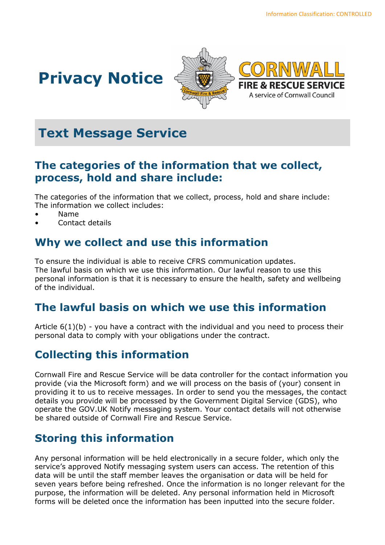





# **Text Message Service**

#### **The categories of the information that we collect, process, hold and share include:**

The categories of the information that we collect, process, hold and share include: The information we collect includes:

- Name
- Contact details

## **Why we collect and use this information**

To ensure the individual is able to receive CFRS communication updates. The lawful basis on which we use this information. Our lawful reason to use this personal information is that it is necessary to ensure the health, safety and wellbeing of the individual.

## **The lawful basis on which we use this information**

Article  $6(1)(b)$  - you have a contract with the individual and you need to process their personal data to comply with your obligations under the contract.

## **Collecting this information**

Cornwall Fire and Rescue Service will be data controller for the contact information you provide (via the Microsoft form) and we will process on the basis of (your) consent in providing it to us to receive messages. In order to send you the messages, the contact details you provide will be processed by the Government Digital Service (GDS), who operate the GOV.UK Notify messaging system. Your contact details will not otherwise be shared outside of Cornwall Fire and Rescue Service.

## **Storing this information**

Any personal information will be held electronically in a secure folder, which only the service's approved Notify messaging system users can access. The retention of this data will be until the staff member leaves the organisation or data will be held for seven years before being refreshed. Once the information is no longer relevant for the purpose, the information will be deleted. Any personal information held in Microsoft forms will be deleted once the information has been inputted into the secure folder.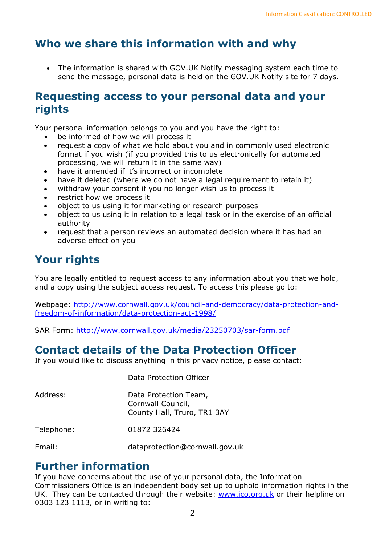## **Who we share this information with and why**

• The information is shared with GOV.UK Notify messaging system each time to send the message, personal data is held on the GOV.UK Notify site for 7 days.

#### **Requesting access to your personal data and your rights**

Your personal information belongs to you and you have the right to:

- be informed of how we will process it
- request a copy of what we hold about you and in commonly used electronic format if you wish (if you provided this to us electronically for automated processing, we will return it in the same way)
- have it amended if it's incorrect or incomplete
- have it deleted (where we do not have a legal requirement to retain it)
- withdraw your consent if you no longer wish us to process it
- restrict how we process it
- object to us using it for marketing or research purposes
- object to us using it in relation to a legal task or in the exercise of an official authority
- request that a person reviews an automated decision where it has had an adverse effect on you

## **Your rights**

You are legally entitled to request access to any information about you that we hold, and a copy using the subject access request. To access this please go to:

Webpage: [http://www.cornwall.gov.uk/council-and-democracy/data-protection-and](http://www.cornwall.gov.uk/council-and-democracy/data-protection-and-freedom-of-information/data-protection-act-1998/)[freedom-of-information/data-protection-act-1998/](http://www.cornwall.gov.uk/council-and-democracy/data-protection-and-freedom-of-information/data-protection-act-1998/)

SAR Form:<http://www.cornwall.gov.uk/media/23250703/sar-form.pdf>

## **Contact details of the Data Protection Officer**

If you would like to discuss anything in this privacy notice, please contact:

Data Protection Officer

| Address:   | Data Protection Team,<br>Cornwall Council,<br>County Hall, Truro, TR1 3AY |
|------------|---------------------------------------------------------------------------|
| Telephone: | 01872 326424                                                              |
| Email:     | dataprotection@cornwall.gov.uk                                            |

#### **Further information**

If you have concerns about the use of your personal data, the Information Commissioners Office is an independent body set up to uphold information rights in the UK. They can be contacted through their website: [www.ico.org.uk](http://www.ico.org.uk/) or their helpline on 0303 123 1113, or in writing to: